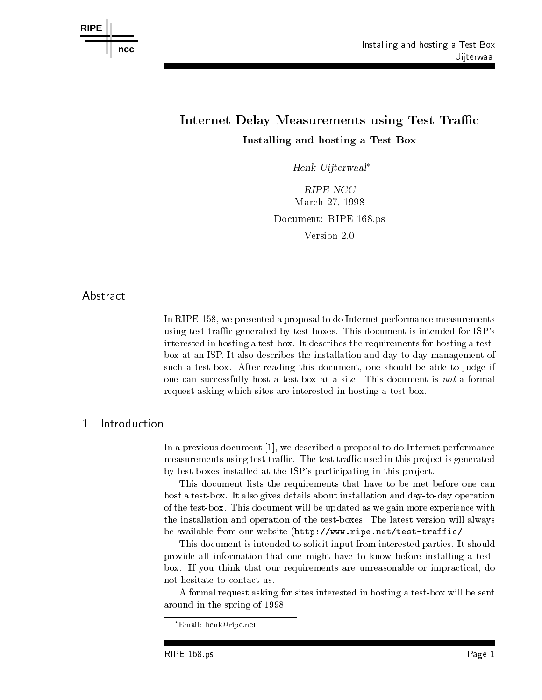

# Internet Delay Measurements using Test Trac Installing and hosting <sup>a</sup> Test Box

Henk Uijterwaal

RIPE NCC ———————————————————— Document: RIPE-168.ps Version 2.0

# Abstract

In RIPE- we presented a proposal to do Internet performance measurements using test traffic generated by test-boxes. This document is intended for ISP's interested in hosting a test-box. It describes the requirements for hosting a testbox at an ISP. It also describes the installation and day-to-day management of such a test-box. After reading this document, one should be able to judge if one can successfully host a test-box at a site. This document is not a formal request asking which sites are interested in hosting a test-box.

### Introduction  $\mathbf{1}$

In a previous document  $[1]$ , we described a proposal to do Internet performance measurements using test traffic. The test traffic used in this project is generated by test-boxes installed at the ISP's participating in this project.

This document lists the requirements that have to be met before one can host a test-box. It also gives details about installation and day-to-day operation of the test-box. This document will be updated as we gain more experience with the installation and operation of the test-boxes. The latest version will always be available from our website httpwww-ripe-nettesttraffic

This document is intended to solicit input from interested parties It should provide all information that one might have to know before installing a test box. If you think that our requirements are unreasonable or impractical, do not hesitate to contact us

A formal request asking for sites interested in hosting a test-box will be sent around in the spring of 1998.

Email: nenk@ripe.net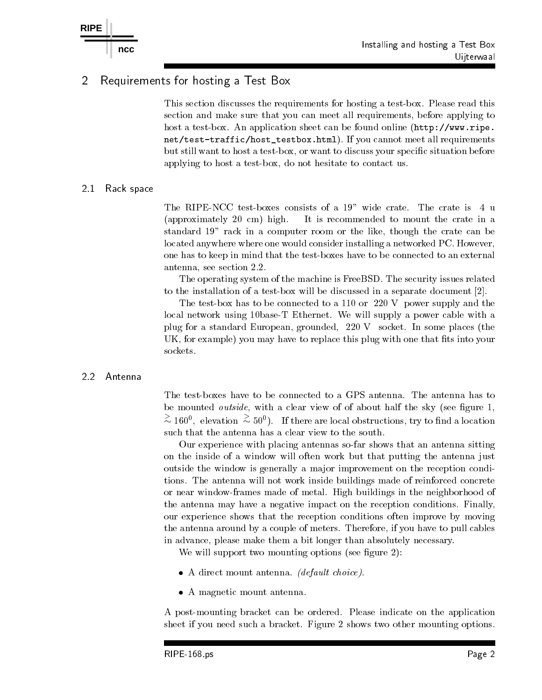### $\overline{2}$ Requirements for hosting a Test Box

This section discusses the requirements for hosting a test-box. Please read this section and make sure that you can meet all requirements, before applying to host a test box An application sheet can be found online that the found online  $\mathcal{N}$  and  $\mathcal{N}$  are found online to the found online that the found online that the found online that the found online that the found onl nettest traffichosttesttraffichosttesten en die stelle meet all requirements meet all requirements of the stat but still want to host a test-box, or want to discuss your specific situation before applying to host a test-box, do not hesitate to contact us.

### Rack space

The RIPE-NCC test-boxes consists of a  $19"$  wide crate. The crate is 4 u (approximately 20 cm) high. It is recommended to mount the crate in a standard 19" rack in a computer room or the like, though the crate can be located anywhere where one would consider installing a networked PC. However, one has to keep in mind that the test-boxes have to be connected to an external antenna, see section 2.2.

The operating system of the machine is FreeBSD. The security issues related to the installation of a test-box will be discussed in a separate document  $[2]$ .

The test-box has to be connected to a 110 or  $220$  V power supply and the local network using 10base T Ethernet. We will supply a power cable with a plug for a standard European grounded V socket In some places the UK, for example) you may have to replace this plug with one that fits into your sockets

# 2.2 Antenna

The test-boxes have to be connected to a GPS antenna. The antenna has to be mounted outside with <sup>a</sup> clear view of of about half the sky see gure  $\sim 160^{\circ}$ , elevation  $\sim 50^{\circ}$ ). If there are local obstructions, try to find a location such that the antenna has a clear view to the south

Our experience with placing antennas sofar shows that an antenna sitting on the inside of a window will often work but that putting the antenna just outside the window is generally a major improvement on the reception conditions The antenna will not work inside buildings made of reinforced concrete or near window-frames made of metal. High buildings in the neighborhood of the antenna may have a negative impact on the reception conditions Finally our experience shows that the reception conditions often improve by moving the antenna around by a couple of meters. Therefore, if you have to pull cables in advance please make them a bit longer than absolutely necessary

We will support two mounting options see 
gure 

- a direct mount and direct choices and direct choices are an antenna default choice and a set of the choice of
- A magnetic mount antenna

A post-mounting bracket can be ordered. Please indicate on the application sheet if you need such a bracket. Figure 2 shows two other mounting options.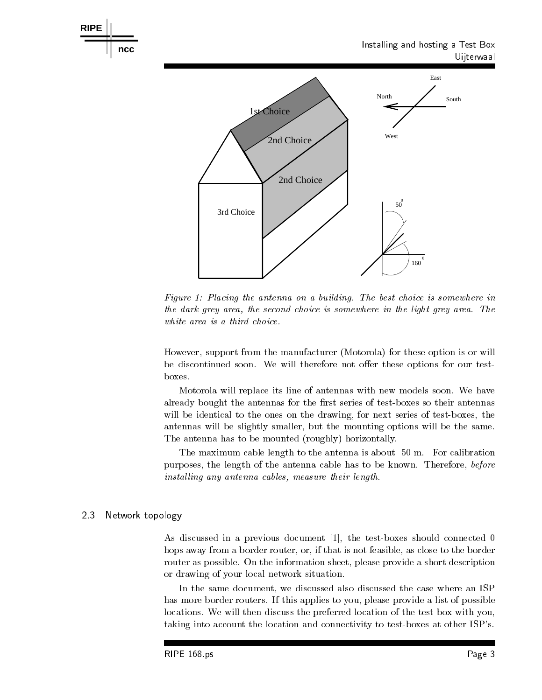

Figure Placing the antenna on a building- The best choice is somewhere in the dark grey area the second choice is somewhere in the light grey area- The white area is a third choice.

However support from the manufacturer Motorola for these option is or will be discontinued soon. We will therefore not offer these options for our testboxes.

Motorola will replace its line of antennas with new models soon We have already bought the antennas for the first series of test-boxes so their antennas will be identical to the ones on the drawing, for next series of test-boxes, the antennas will be slightly smaller, but the mounting options will be the same. The antenna has to be mounted roughly horizontally

the maximum cable length to the antenna is about you and the called stress is about  $\sim$ purposes, the length of the antenna cable has to be known. Therefore, before installing any antenna cables, measure their length.

### 2.3 Network topology

As discussed in a previous document  $\begin{bmatrix} 1 \end{bmatrix}$ , the test-boxes should connected 0 hops away from a border router, or, if that is not feasible, as close to the border router as possible. On the information sheet, please provide a short description or drawing of your local network situation

In the same document, we discussed also discussed the case where an ISP has more border routers. If this applies to you, please provide a list of possible locations. We will then discuss the preferred location of the test-box with you, taking into account the location and connectivity to test-boxes at other ISP's.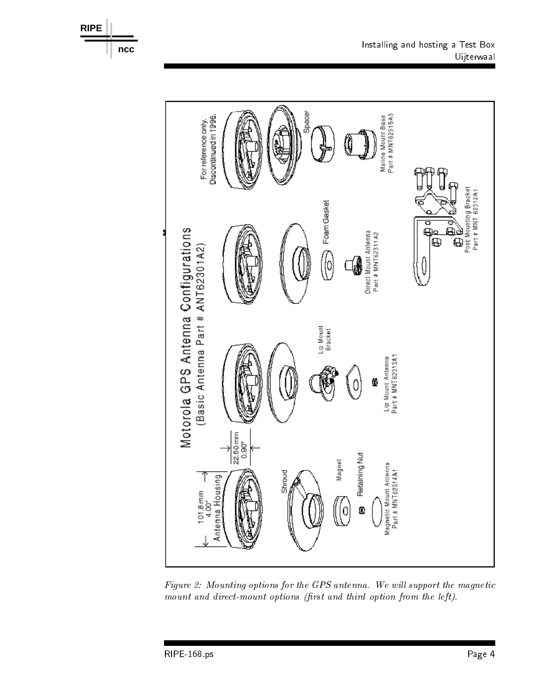



Figure Mounting options for the GPS antenna- We wil l support the magnetic mount and direct-mount options (first and third option from the left).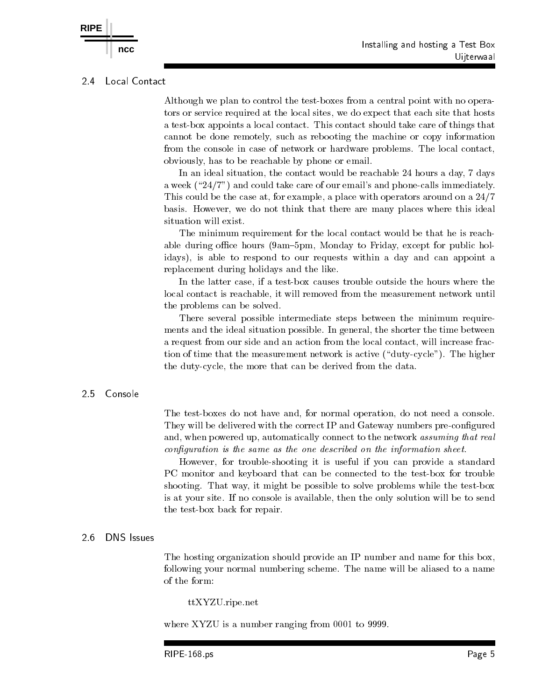#### $2.4$ Local Contact

**RIPE**

Although we plan to control the test-boxes from a central point with no operators or service required at the local sites we do expect that each site that hosts a testbox appoints a local contact This contact should take care of things that cannot be done remotely, such as rebooting the machine or copy information from the console in case of network or hardware problems. The local contact, obviously has to be reachable by phone or email

In an ideal situation, the contact would be reachable  $24$  hours a day, 7 days a week and could take could take could take compared the phone of our emails in  $\mu$ This could be the case at, for example, a place with operators around on a  $24/7$ basis. However, we do not think that there are many places where this ideal situation will exist.

The minimum requirement for the local contact would be that he is reach able during oceans for the former open, continuity is formingly the specific forming the continuity of the cont idays), is able to respond to our requests within a day and can appoint a replacement during holidays and the like

In the latter case, if a test-box causes trouble outside the hours where the local contact is reachable, it will removed from the measurement network until the problems can be solved

There several possible intermediate steps between the minimum require ments and the ideal situation possible. In general, the shorter the time between a request from our side and an action from the local contact, will increase fraction is time that the measurement is active in the measurement  $\mathcal{A}$  , and  $\mathcal{A}$  and  $\mathcal{A}$ the duty-cycle, the more that can be derived from the data.

### 25 Console

The test-boxes do not have and, for normal operation, do not need a console. They will be delivered with the correct IP and Gateway numbers pre-configured and, when powered up, automatically connect to the network assuming that real configuration is the same as the one described on the information sheet.

However, for trouble-shooting it is useful if you can provide a standard PC monitor and keyboard that can be connected to the test-box for trouble shooting. That way, it might be possible to solve problems while the test-box is at your site. If no console is available, then the only solution will be to send the test-box back for repair.

#### **DNS** Issues 2.6

The hosting organization should provide an IP number and name for this box following your normal numbering scheme The name will be aliased to a name of the form:

ttXYZU.ripe.net

where  $XYZU$  is a number ranging from  $0001$  to 9999.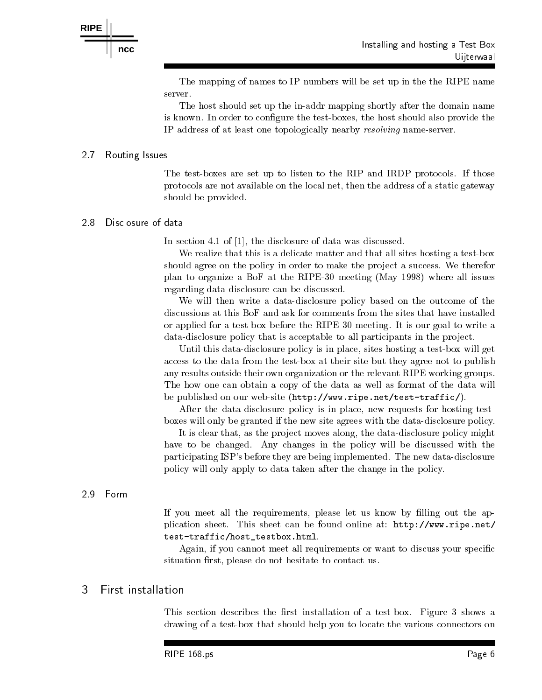The mapping of names to IP numbers will be set up in the the RIPE name server.

The host should set up the in-addr mapping shortly after the domain name is known. In order to configure the test-boxes, the host should also provide the IP address of at least one topologically nearby *resolving* name-server.

### 2.7 Routing Issues

The test-boxes are set up to listen to the RIP and IRDP protocols. If those protocols are not available on the local net, then the address of a static gateway should be provided

#### 28 Disclosure of data

In section 4.1 of  $\vert 1 \vert$ , the disclosure of data was discussed.

We realize that this is a delicate matter and that all sites hosting a test-box should agree on the policy in order to make the project a success. We therefor  $p \rightarrow \infty$  . The planet is  $p \rightarrow \infty$  and  $p \rightarrow \infty$  and  $p \rightarrow \infty$  and  $p \rightarrow \infty$  and  $p \rightarrow \infty$ regarding data-disclosure can be discussed.

We will then write a data-disclosure policy based on the outcome of the discussions at this BoF and ask for comments from the sites that have installed or applied for a test-box before the RIPE-30 meeting. It is our goal to write a data-disclosure policy that is acceptable to all participants in the project.

Until this data-disclosure policy is in place, sites hosting a test-box will get access to the data from the test-box at their site but they agree not to publish any results outside their own organization or the relevant RIPE working groups The how one can obtain a copy of the data as well as format of the data will ripe-bested on our website  $\rho$  . The strategies of the strategies of  $\rho$ 

After the data-disclosure policy is in place, new requests for hosting testboxes will only be granted if the new site agrees with the data-disclosure policy.

It is clear that, as the project moves along, the data-disclosure policy might have to be changed. Any changes in the policy will be discussed with the participating ISP's before they are being implemented. The new data-disclosure policy will only apply to data taken after the change in the policy

# 29 Form

If you meet all the requirements please let us know by lling out the ap plication sheet This sheet can be found on the found of the found only the sheet  $\mathcal{C}_1$ testtraffichosttestbox-html

Again, if you cannot meet all requirements or want to discuss your specific situation first, please do not hesitate to contact us.

### 3 First installation

This section describes the first installation of a test-box. Figure 3 shows a drawing of a test-box that should help you to locate the various connectors on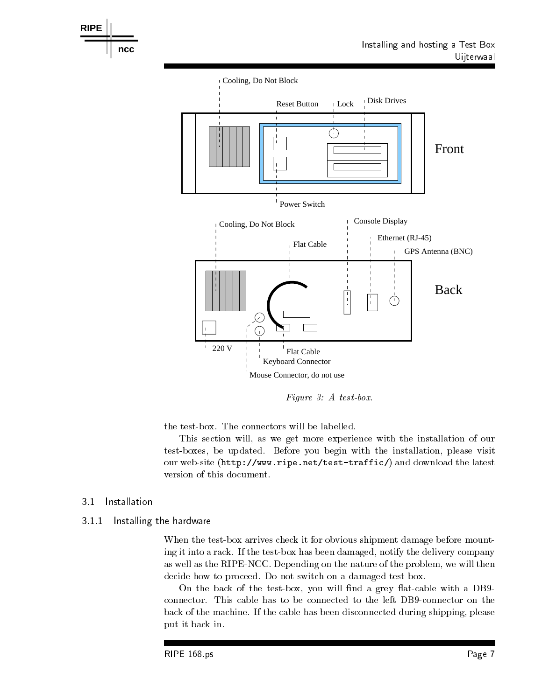

Figure  $\mathcal{S}: A$  test-box.

the test-box. The connectors will be labelled.

This section will, as we get more experience with the installation of our test-boxes, be updated. Before you begin with the installation, please visit ripe- website the strategies and download the latest and download the latest contract of the latest contract o version of this document

#### Installation  $3.1$

### -- Installing the hardware

When the test-box arrives check it for obvious shipment damage before mounting it into a rack. If the test-box has been damaged, notify the delivery company as well as the RIPE-NCC. Depending on the nature of the problem, we will then decide how to proceed. Do not switch on a damaged test-box.

On the back of the test-box, you will find a grey flat-cable with a DB9connector. This cable has to be connected to the left DB9-connector on the back of the machine. If the cable has been disconnected during shipping, please put it back in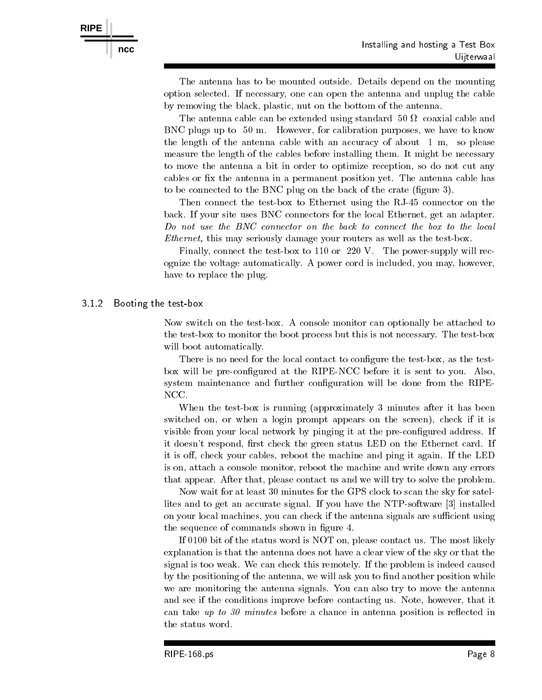**RIPE**

The antenna has to be mounted outside. Details depend on the mounting option selected If necessary one can open the antenna and unplug the cable by removing the black, plastic, nut on the bottom of the antenna.

The antenna cable calculation of  $\mathcal{L}$ BNC plugs up to - m However for calibration purposes we have to know the length of the antenna cable with an accuracy of about  $1 \text{ m}$ , so please measure the length of the cables before installing them. It might be necessary to move the antenna a bit in order to optimize reception so do not cut any cables or fix the antenna in a permanent position yet. The antenna cable has to be connected to the BNC plug on the back of the crate  $\mathbf{q}$  and  $\mathbf{q}$ 

Then connect the testbox to Ethernet using the RJ- connector on the back. If your site uses BNC connectors for the local Ethernet, get an adapter. Do not use the BNC connector on the back to connect the box to the local *Ethernet*, this may seriously damage your routers as well as the test-box.

Finally, connect the test-box to  $110$  or  $220$  V. The power-supply will recognize the voltage automatically. A power cord is included, you may, however, have to replace the plug.

#### 3 1 2 Booting the test box

Now switch on the test-box. A console monitor can optionally be attached to the test-box to monitor the boot process but this is not necessary. The test-box will boot automatically.

There is no need for the local contact to configure the test-box, as the testbox will be pre-configured at the RIPE-NCC before it is sent to you. Also, system maintenance and further configuration will be done from the RIPE-NCC

When the testbox is running approximately minutes after it has been switched on, or when a login prompt appears on the screen), check if it is visible from your local network by pinging it at the pre-configured address. If it doesn't respond, first check the green status LED on the Ethernet card. If it is off, check your cables, reboot the machine and ping it again. If the LED is on, attach a console monitor, reboot the machine and write down any errors that appear. After that, please contact us and we will try to solve the problem.

Now wait for at least 30 minutes for the GPS clock to scan the sky for satellites and to get an accurate signal. If you have the NTP-software  $\lbrack 3 \rbrack$  installed on your local machines, you can check if the antenna signals are sufficient using the sequence of commands shown in figure 4.

If  $0100$  bit of the status word is NOT on, please contact us. The most likely explanation is that the antenna does not have a clear view of the sky or that the signal is too weak We can check this remotely If the problem is indeed caused by the positioning of the antenna, we will ask you to find another position while we are monitoring the antenna signals. You can also try to move the antenna and see if the conditions improve before contacting us. Note, however, that it can take up to  $\mathbf r$  take up to  $\mathbf r$  and  $\mathbf r$  and  $\mathbf r$  in antenna position in antenna position in antenna position in antenna position in antenna position in antenna position in antenna position in antenna position the status word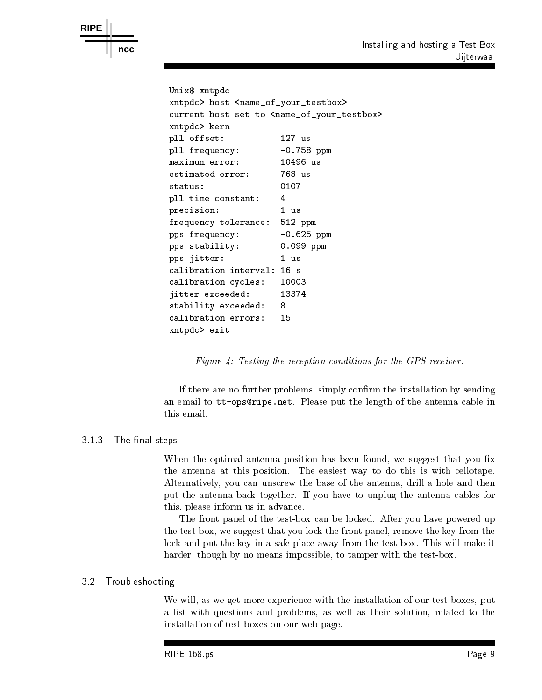```
Unix$ xntpdc
xntpdc> host <name_of_your_testbox>
current host set to <name_of_your_testbox>
xntpdc> kern
pll offset 	
                               127 us
pll frequency:
                                    p = p is a particle of p = p . The second contract of p = p is the second contract of p = p is the second contract of p = p is the second contract of p = p is the second contract of p = p is the second contract of p = p i
maximum error:
                               10496 us
estimated error 
                               768 us
status 
                               0107
pll time constant:
                               \overline{4}precision: 1 us
frequency tolerance: 512 ppm
pps frequency:
                               -0.625 ppm
pps stability:
                               0.099 ppm
pps jitter: 1 us
calibration interval: 16 s
calibration cycles 
jitter exceeded: 13374
stability exceeded: 8
xntpdc> exit
```
Figure 4: Testing the reception conditions for the GPS receiver.

If there are no further problems, simply confirm the installation by sending and the length of the length of the length of the antenna cable in the antenna cable in the antenna cable in the antenna cable in the antenna cable in the antenna cable in the cable in the cable in the cable in the cable i this email

# - The nal steps

**RIPE**

When the optimal antenna position has been found, we suggest that you fix the antenna at this position. The easiest way to do this is with cellotape. Alternatively you can unscrew the base of the antenna drill a hole and then put the antenna back together. If you have to unplug the antenna cables for this, please inform us in advance.

The front panel of the test-box can be locked. After you have powered up the test-box, we suggest that you lock the front panel, remove the key from the lock and put the key in a safe place away from the test-box. This will make it harder, though by no means impossible, to tamper with the test-box.

### 3.2 Troubleshooting

We will, as we get more experience with the installation of our test-boxes, put a list with questions and problems, as well as their solution, related to the installation of test-boxes on our web page.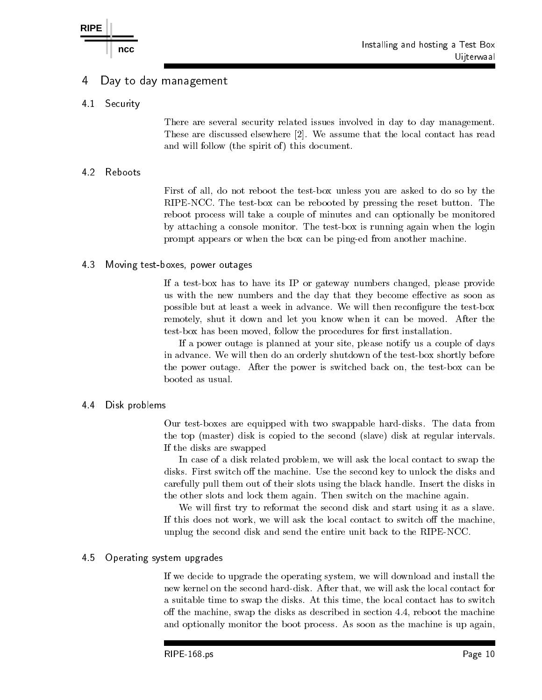### Day to day management 4

4.1 **Security** 

> There are several security related issues involved in day to day management These are discussed elsewhere [2]. We assume that the local contact has read and will follow the spirit of the spirit of the spirit of the spirit of the spirit of the spirit of the spirit

# 4.2

First of all, do not reboot the test-box unless you are asked to do so by the RIPE-NCC. The test-box can be rebooted by pressing the reset button. The reboot process will take a couple of minutes and can optionally be monitored by attaching a console monitor. The test-box is running again when the login prompt appears or when the box can be pinged from another machine

#### 4.3 Moving test boxes power outages

If a test-box has to have its IP or gateway numbers changed, please provide us with the new numbers and the day that they become effective as soon as possible but at least a week in advance. We will then reconfigure the test-box remotely, shut it down and let you know when it can be moved. After the test-box has been moved, follow the procedures for first installation.

If a power outage is planned at your site please notify us a couple of days in advance. We will then do an orderly shutdown of the test-box shortly before the power outage. After the power is switched back on, the test-box can be booted as usual

# Disk problems

Our test-boxes are equipped with two swappable hard-disks. The data from the top (master) master at regular in the slaves (master) master at regular intervalse. If the disks are swapped

In case of a disk related problem, we will ask the local contact to swap the disks. First switch off the machine. Use the second key to unlock the disks and carefully pull them out of their slots using the black handle Insert the disks in the other slots and lock them again. Then switch on the machine again.

We will first try to reformat the second disk and start using it as a slave. If this does not work, we will ask the local contact to switch off the machine, unplug the second disk and send the entire unit back to the RIPENCC

### 45 Operating system upgrades

If we decide to upgrade the operating system, we will download and install the new kernel on the second hard-disk. After that, we will ask the local contact for a suitable time to swap the disks At this time the local contact has to switch off the machine, swap the disks as described in section  $4.4$ , reboot the machine and optionally monitor the boot process. As soon as the machine is up again,